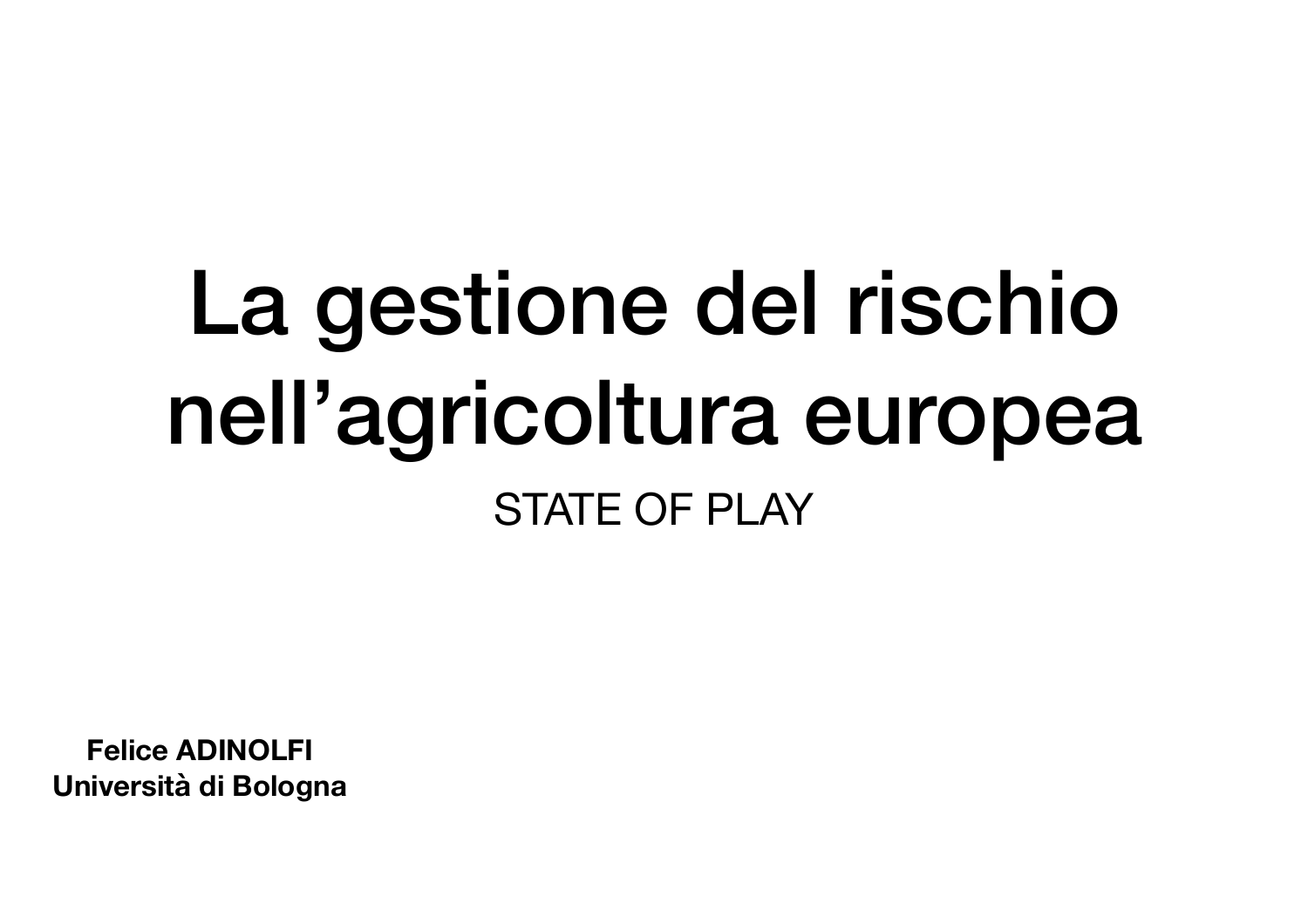# La gestione del rischio nell'agricoltura europea STATE OF PLAY

**Felice ADINOLFI Università di Bologna**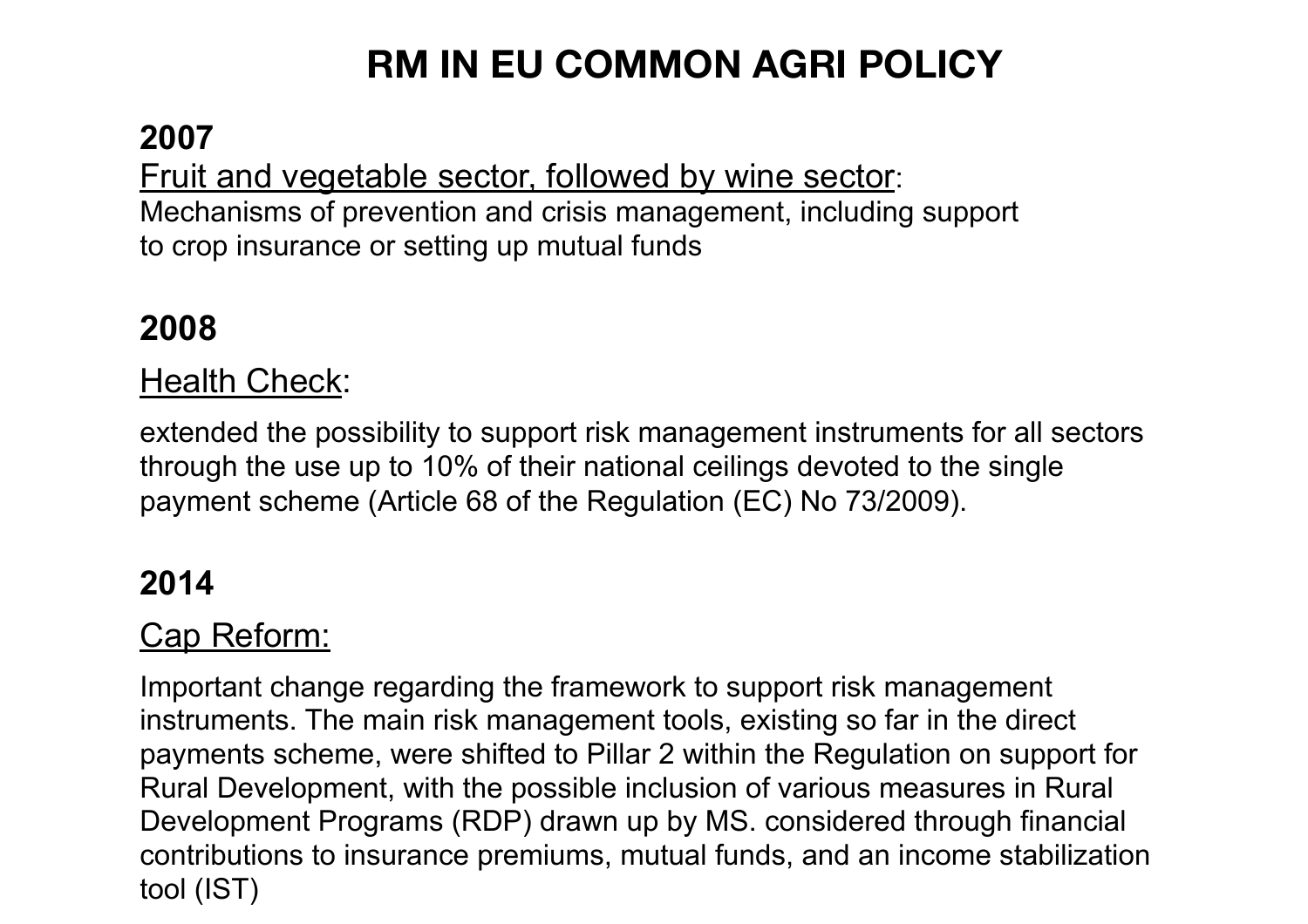# **RM IN EU COMMON AGRI POLICY**

#### **2007**

Fruit and vegetable sector, followed by wine sector: Mechanisms of prevention and crisis management, including support to crop insurance or setting up mutual funds

## **2008**

#### **Health Check:**

extended the possibility to support risk management instruments for all sectors through the use up to 10% of their national ceilings devoted to the single payment scheme (Article 68 of the Regulation (EC) No 73/2009).

#### **2014**

#### Cap Reform:

Important change regarding the framework to support risk management instruments. The main risk management tools, existing so far in the direct payments scheme, were shifted to Pillar 2 within the Regulation on support for Rural Development, with the possible inclusion of various measures in Rural Development Programs (RDP) drawn up by MS. considered through financial contributions to insurance premiums, mutual funds, and an income stabilization tool (IST)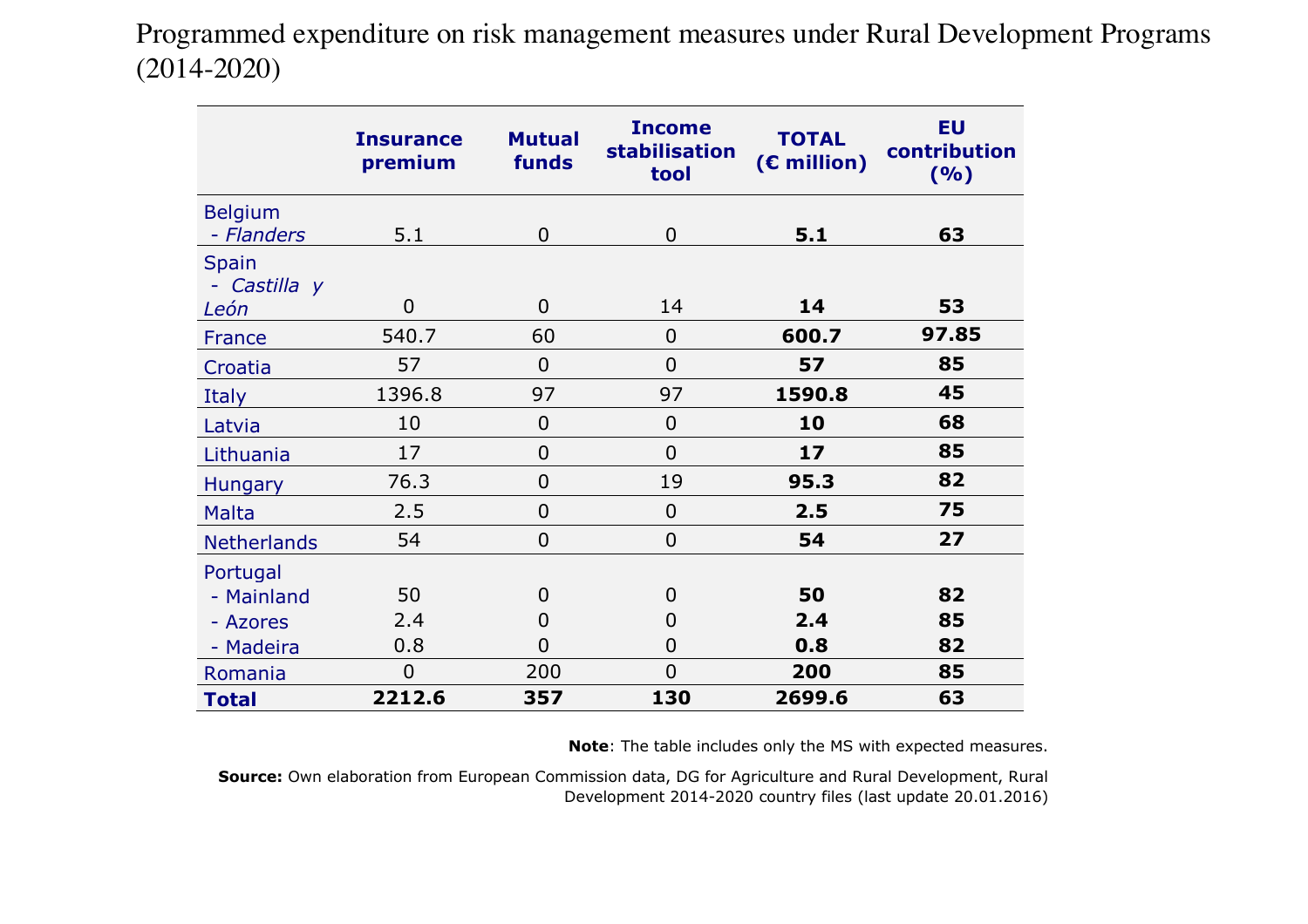$T_{14.2020}$  **Table 10. Programmed expenditure on risk management measures under Rural 20.** Programmed expenditure on risk management measures under Rural Development Programs (2014-2020)

|                                      | <b>Insurance</b><br>premium | <b>Mutual</b><br>funds | <b>Income</b><br>stabilisation<br>tool | <b>TOTAL</b><br>$(E$ million) | <b>EU</b><br>contribution<br>(%) |
|--------------------------------------|-----------------------------|------------------------|----------------------------------------|-------------------------------|----------------------------------|
| <b>Belgium</b><br>- Flanders         | 5.1                         | $\Omega$               | $\mathbf 0$                            | 5.1                           | 63                               |
| <b>Spain</b><br>- Castilla y<br>León | $\overline{0}$              | $\overline{0}$         | 14                                     | 14                            | 53                               |
| France                               | 540.7                       | 60                     | $\mathbf 0$                            | 600.7                         | 97.85                            |
| Croatia                              | 57                          | $\overline{0}$         | $\overline{0}$                         | 57                            | 85                               |
| Italy                                | 1396.8                      | 97                     | 97                                     | 1590.8                        | 45                               |
| Latvia                               | 10                          | $\overline{0}$         | $\overline{0}$                         | 10                            | 68                               |
| Lithuania                            | 17                          | $\overline{0}$         | $\overline{0}$                         | 17                            | 85                               |
| <b>Hungary</b>                       | 76.3                        | $\overline{0}$         | 19                                     | 95.3                          | 82                               |
| <b>Malta</b>                         | 2.5                         | $\overline{0}$         | $\overline{0}$                         | 2.5                           | 75                               |
| <b>Netherlands</b>                   | 54                          | $\overline{0}$         | $\overline{0}$                         | 54                            | 27                               |
| Portugal                             |                             |                        |                                        |                               |                                  |
| - Mainland                           | 50                          | $\overline{0}$         | $\overline{0}$                         | 50                            | 82                               |
| - Azores                             | 2.4                         | 0                      | $\overline{0}$                         | 2.4                           | 85                               |
| - Madeira                            | 0.8                         | $\Omega$               | $\overline{0}$                         | 0.8                           | 82                               |
| Romania                              | $\overline{0}$              | 200                    | $\overline{0}$                         | 200                           | 85                               |
| <b>Total</b>                         | 2212.6                      | 357                    | 130                                    | 2699.6                        | 63                               |

**Note**: The table includes only the MS with expected measures.

**Source:** Own elaboration from European Commission data, DG for Agriculture and Rural Development, Rural Development 2014-2020 country files (last update 20.01.2016)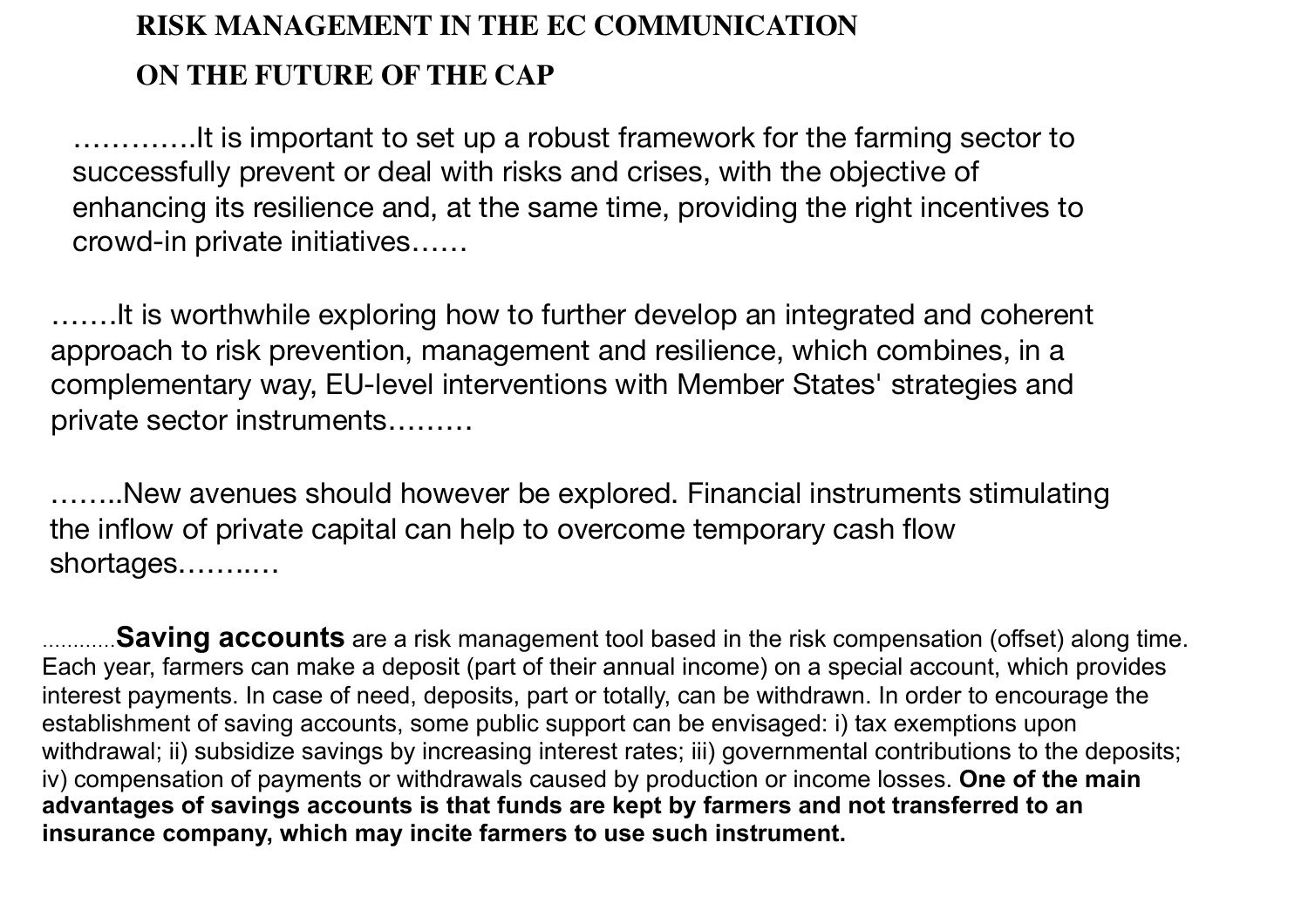### **RISK MANAGEMENT IN THE EC COMMUNICATION ON THE FUTURE OF THE CAP**

………….It is important to set up a robust framework for the farming sector to successfully prevent or deal with risks and crises, with the objective of enhancing its resilience and, at the same time, providing the right incentives to crowd-in private initiatives……

…….It is worthwhile exploring how to further develop an integrated and coherent approach to risk prevention, management and resilience, which combines, in a complementary way, EU-level interventions with Member States' strategies and private sector instruments………

……..New avenues should however be explored. Financial instruments stimulating the inflow of private capital can help to overcome temporary cash flow shortages……..…

…………**Saving accounts** are a risk management tool based in the risk compensation (offset) along time. Each year, farmers can make a deposit (part of their annual income) on a special account, which provides interest payments. In case of need, deposits, part or totally, can be withdrawn. In order to encourage the establishment of saving accounts, some public support can be envisaged: i) tax exemptions upon withdrawal; ii) subsidize savings by increasing interest rates; iii) governmental contributions to the deposits; iv) compensation of payments or withdrawals caused by production or income losses. **One of the main advantages of savings accounts is that funds are kept by farmers and not transferred to an insurance company, which may incite farmers to use such instrument.**